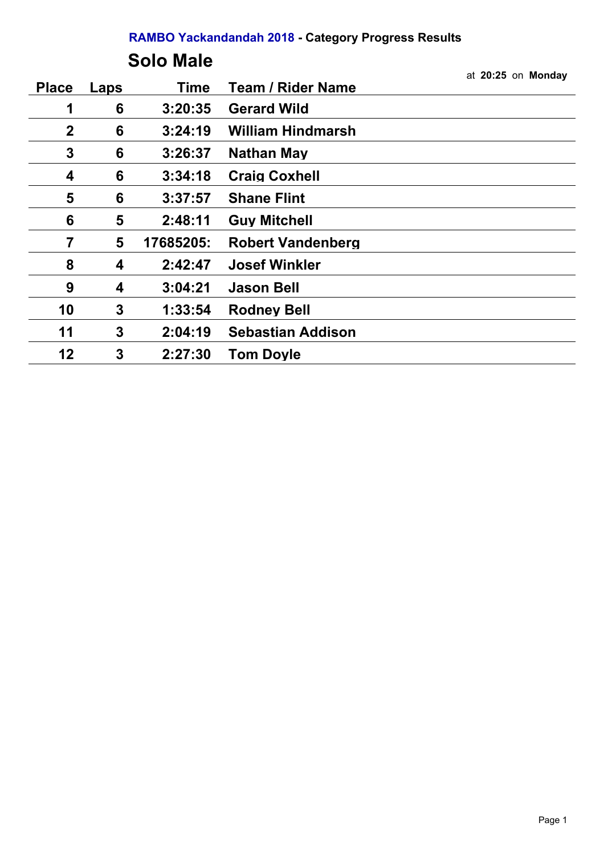### **Solo Male**

|              |      |           |                          | at 20:25 on Monday |
|--------------|------|-----------|--------------------------|--------------------|
| <b>Place</b> | Laps | Time      | <b>Team / Rider Name</b> |                    |
| 1            | 6    | 3:20:35   | <b>Gerard Wild</b>       |                    |
| $\mathbf{2}$ | 6    | 3:24:19   | <b>William Hindmarsh</b> |                    |
| 3            | 6    | 3:26:37   | <b>Nathan May</b>        |                    |
| 4            | 6    | 3:34:18   | <b>Craig Coxhell</b>     |                    |
| 5            | 6    | 3:37:57   | <b>Shane Flint</b>       |                    |
| 6            | 5    | 2:48:11   | <b>Guy Mitchell</b>      |                    |
| 7            | 5    | 17685205: | <b>Robert Vandenberg</b> |                    |
| 8            | 4    | 2:42:47   | <b>Josef Winkler</b>     |                    |
| 9            | 4    | 3:04:21   | <b>Jason Bell</b>        |                    |
| 10           | 3    | 1:33:54   | <b>Rodney Bell</b>       |                    |
| 11           | 3    | 2:04:19   | <b>Sebastian Addison</b> |                    |
| 12           | 3    | 2:27:30   | <b>Tom Doyle</b>         |                    |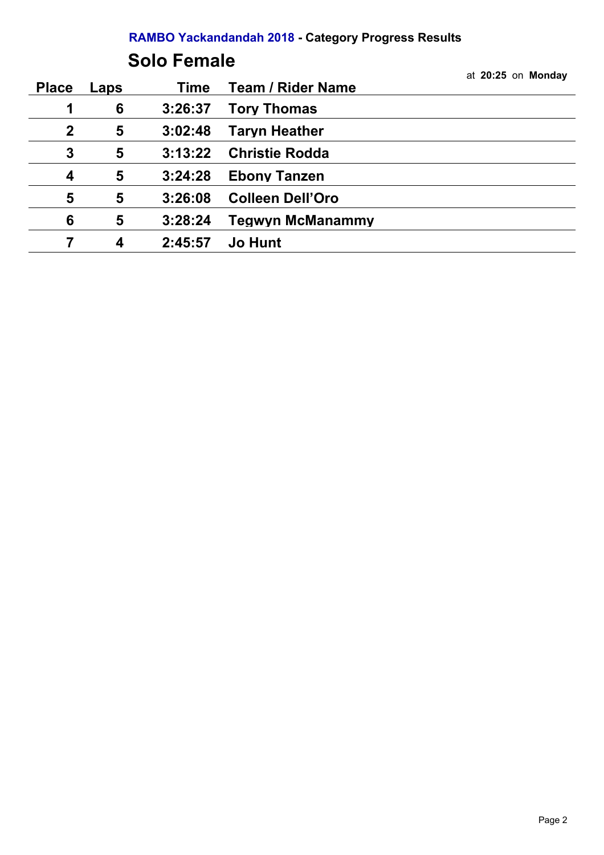## **Solo Female**

|              |      |         |                          | at 20:25 on Monday |
|--------------|------|---------|--------------------------|--------------------|
| <b>Place</b> | Laps | Time    | <b>Team / Rider Name</b> |                    |
| 1            | 6    | 3:26:37 | <b>Tory Thomas</b>       |                    |
| $\mathbf{2}$ | 5    | 3:02:48 | <b>Taryn Heather</b>     |                    |
| 3            | 5    | 3:13:22 | <b>Christie Rodda</b>    |                    |
| 4            | 5    | 3:24:28 | <b>Ebony Tanzen</b>      |                    |
| 5            | 5    | 3:26:08 | <b>Colleen Dell'Oro</b>  |                    |
| 6            | 5    | 3:28:24 | <b>Tegwyn McManammy</b>  |                    |
|              | 4    | 2:45:57 | <b>Jo Hunt</b>           |                    |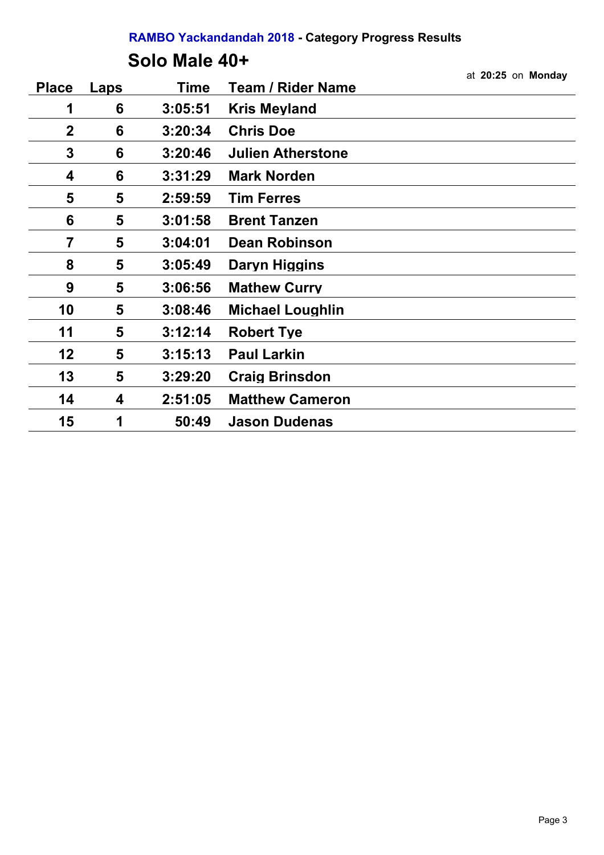### **Solo Male 40+**

|              |      |             |                          | at 20:25 on Monday |
|--------------|------|-------------|--------------------------|--------------------|
| <b>Place</b> | Laps | <b>Time</b> | <b>Team / Rider Name</b> |                    |
| 1            | 6    | 3:05:51     | <b>Kris Meyland</b>      |                    |
| $\mathbf{2}$ | 6    | 3:20:34     | <b>Chris Doe</b>         |                    |
| $\mathbf{3}$ | 6    | 3:20:46     | <b>Julien Atherstone</b> |                    |
| 4            | 6    | 3:31:29     | <b>Mark Norden</b>       |                    |
| 5            | 5    | 2:59:59     | <b>Tim Ferres</b>        |                    |
| 6            | 5    | 3:01:58     | <b>Brent Tanzen</b>      |                    |
| 7            | 5    | 3:04:01     | <b>Dean Robinson</b>     |                    |
| 8            | 5    | 3:05:49     | Daryn Higgins            |                    |
| 9            | 5    | 3:06:56     | <b>Mathew Curry</b>      |                    |
| 10           | 5    | 3:08:46     | <b>Michael Loughlin</b>  |                    |
| 11           | 5    | 3:12:14     | <b>Robert Tye</b>        |                    |
| 12           | 5    | 3:15:13     | <b>Paul Larkin</b>       |                    |
| 13           | 5    | 3:29:20     | <b>Craig Brinsdon</b>    |                    |
| 14           | 4    | 2:51:05     | <b>Matthew Cameron</b>   |                    |
| 15           | 1    | 50:49       | <b>Jason Dudenas</b>     |                    |
|              |      |             |                          |                    |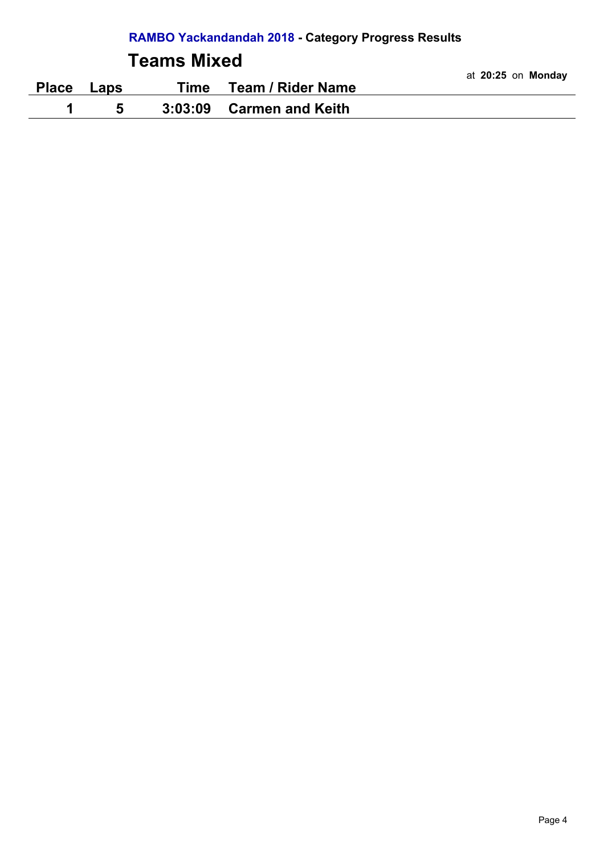## **Teams Mixed**

|              |      |      |                          | at 20:25 on Monday |
|--------------|------|------|--------------------------|--------------------|
| <b>Place</b> | Laps | Time | <b>Team / Rider Name</b> |                    |
|              |      |      | 3:03:09 Carmen and Keith |                    |
|              |      |      |                          |                    |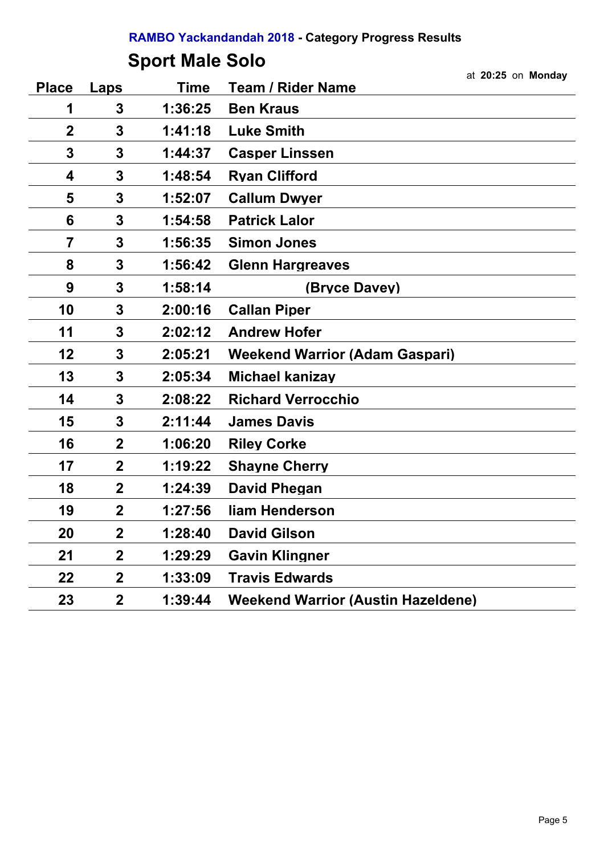# **Sport Male Solo**

|              |                |             |                                           | at 20:25 on Monday |
|--------------|----------------|-------------|-------------------------------------------|--------------------|
| <b>Place</b> | Laps           | <b>Time</b> | <b>Team / Rider Name</b>                  |                    |
| 1            | 3              | 1:36:25     | <b>Ben Kraus</b>                          |                    |
| $\mathbf 2$  | 3              | 1:41:18     | <b>Luke Smith</b>                         |                    |
| 3            | 3              | 1:44:37     | <b>Casper Linssen</b>                     |                    |
| 4            | 3              | 1:48:54     | <b>Ryan Clifford</b>                      |                    |
| 5            | 3              | 1:52:07     | <b>Callum Dwyer</b>                       |                    |
| 6            | 3              | 1:54:58     | <b>Patrick Lalor</b>                      |                    |
| 7            | 3              | 1:56:35     | <b>Simon Jones</b>                        |                    |
| 8            | 3              | 1:56:42     | <b>Glenn Hargreaves</b>                   |                    |
| 9            | 3              | 1:58:14     | (Bryce Davey)                             |                    |
| 10           | 3              | 2:00:16     | <b>Callan Piper</b>                       |                    |
| 11           | 3              | 2:02:12     | <b>Andrew Hofer</b>                       |                    |
| 12           | 3              | 2:05:21     | <b>Weekend Warrior (Adam Gaspari)</b>     |                    |
| 13           | 3              | 2:05:34     | Michael kanizay                           |                    |
| 14           | 3              | 2:08:22     | <b>Richard Verrocchio</b>                 |                    |
| 15           | 3              | 2:11:44     | <b>James Davis</b>                        |                    |
| 16           | $\mathbf 2$    | 1:06:20     | <b>Riley Corke</b>                        |                    |
| 17           | $\mathbf{2}$   | 1:19:22     | <b>Shayne Cherry</b>                      |                    |
| 18           | $\mathbf 2$    | 1:24:39     | <b>David Phegan</b>                       |                    |
| 19           | $\mathbf 2$    | 1:27:56     | liam Henderson                            |                    |
| 20           | $\mathbf 2$    | 1:28:40     | <b>David Gilson</b>                       |                    |
| 21           | $\mathbf{2}$   | 1:29:29     | <b>Gavin Klingner</b>                     |                    |
| 22           | $\mathbf{2}$   | 1:33:09     | <b>Travis Edwards</b>                     |                    |
| 23           | $\overline{2}$ | 1:39:44     | <b>Weekend Warrior (Austin Hazeldene)</b> |                    |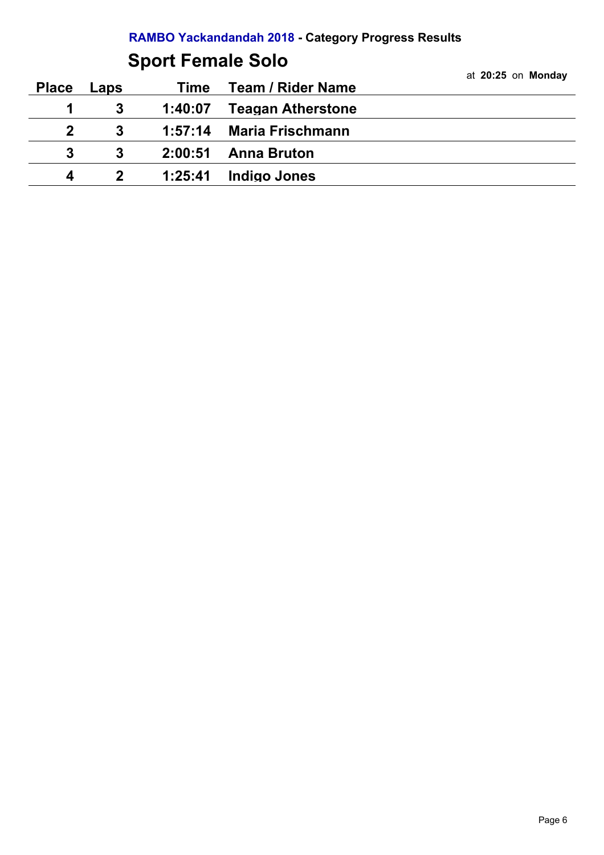# **Sport Female Solo**

|              |              |         |                          | at 20:25 on Monday |
|--------------|--------------|---------|--------------------------|--------------------|
| <b>Place</b> | Laps         | Time    | <b>Team / Rider Name</b> |                    |
| 1            |              | 1:40:07 | <b>Teagan Atherstone</b> |                    |
| $2^{\circ}$  | 3            |         | 1:57:14 Maria Frischmann |                    |
| 3            | 3            | 2:00:51 | <b>Anna Bruton</b>       |                    |
| 4            | $\mathbf{2}$ | 1:25:41 | <b>Indigo Jones</b>      |                    |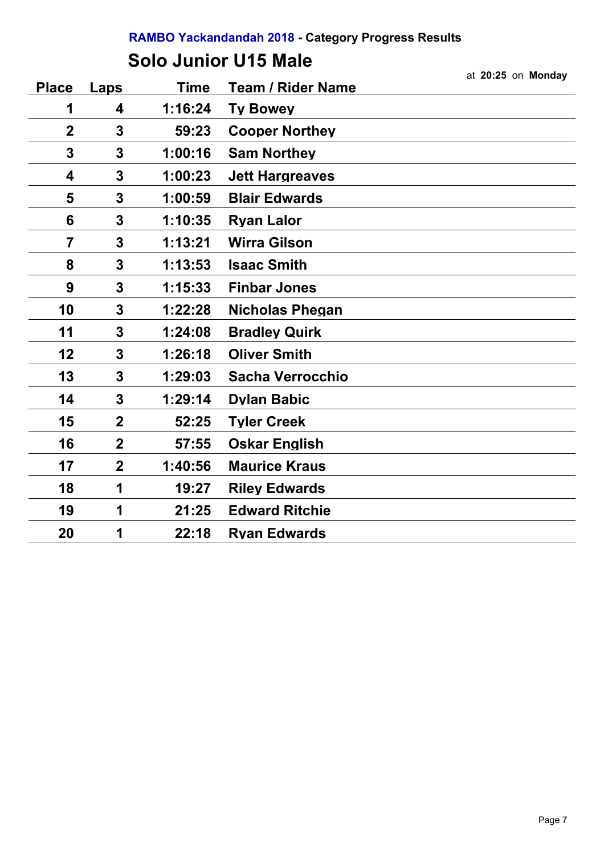## **Solo Junior U15 Male**

|                |                |             |                          | at 20:25 on Monday |
|----------------|----------------|-------------|--------------------------|--------------------|
| <b>Place</b>   | Laps           | <b>Time</b> | <b>Team / Rider Name</b> |                    |
| 1              | 4              | 1:16:24     | <b>Ty Bowey</b>          |                    |
| $\mathbf 2$    | 3              | 59:23       | <b>Cooper Northey</b>    |                    |
| 3              | 3              | 1:00:16     | <b>Sam Northey</b>       |                    |
| 4              | 3              | 1:00:23     | <b>Jett Hargreaves</b>   |                    |
| 5              | 3              | 1:00:59     | <b>Blair Edwards</b>     |                    |
| 6              | 3              | 1:10:35     | <b>Ryan Lalor</b>        |                    |
| $\overline{7}$ | 3              | 1:13:21     | <b>Wirra Gilson</b>      |                    |
| 8              | 3              | 1:13:53     | <b>Isaac Smith</b>       |                    |
| 9              | 3              | 1:15:33     | <b>Finbar Jones</b>      |                    |
| 10             | 3              | 1:22:28     | <b>Nicholas Phegan</b>   |                    |
| 11             | 3              | 1:24:08     | <b>Bradley Quirk</b>     |                    |
| 12             | 3              | 1:26:18     | <b>Oliver Smith</b>      |                    |
| 13             | 3              | 1:29:03     | <b>Sacha Verrocchio</b>  |                    |
| 14             | 3              | 1:29:14     | <b>Dylan Babic</b>       |                    |
| 15             | $\overline{2}$ | 52:25       | <b>Tyler Creek</b>       |                    |
| 16             | $\overline{2}$ | 57:55       | <b>Oskar English</b>     |                    |
| 17             | $\mathbf{2}$   | 1:40:56     | <b>Maurice Kraus</b>     |                    |
| 18             | 1              | 19:27       | <b>Riley Edwards</b>     |                    |
| 19             | 1              | 21:25       | <b>Edward Ritchie</b>    |                    |
| 20             | 1              | 22:18       | <b>Ryan Edwards</b>      |                    |